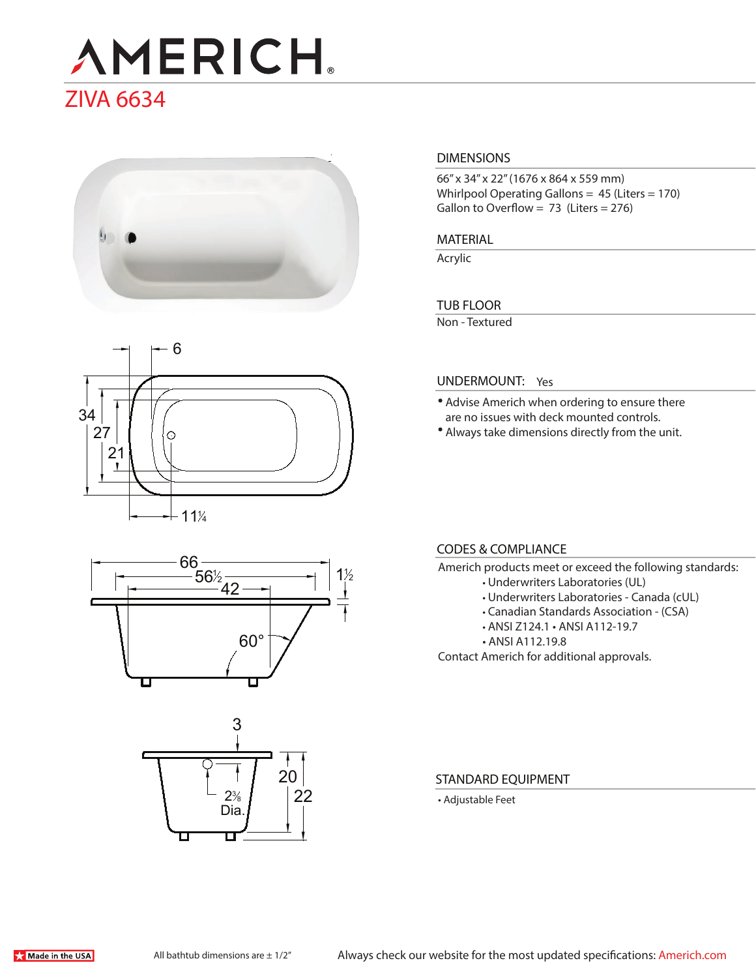# **AMERICH** ZIVA 6634



## 6 34 27 ⊙ 21  $11\frac{1}{4}$





#### **DIMENSIONS**

66" x 34" x 22" (1676 x 864 x 559 mm) Whirlpool Operating Gallons = 45 (Liters = 170) Gallon to Overflow =  $73$  (Liters = 276)

#### **MATERIAL**

Acrylic

#### **TUB FLOOR**

Non - Textured

#### **UNDERMOUNT:** Yes

- Advise Americh when ordering to ensure there are no issues with deck mounted controls.
- Always take dimensions directly from the unit.

#### **CODES & COMPLIANCE**

- Americh products meet or exceed the following standards:
	- Underwriters Laboratories (UL)
	- Underwriters Laboratories Canada (cUL)
	- Canadian Standards Association (CSA)
	- ANSI Z124.1 ANSI A112-19.7
	- ANSI A112.19.8

Contact Americh for additional approvals.

#### **STANDARD EQUIPMENT**

• Adjustable Feet